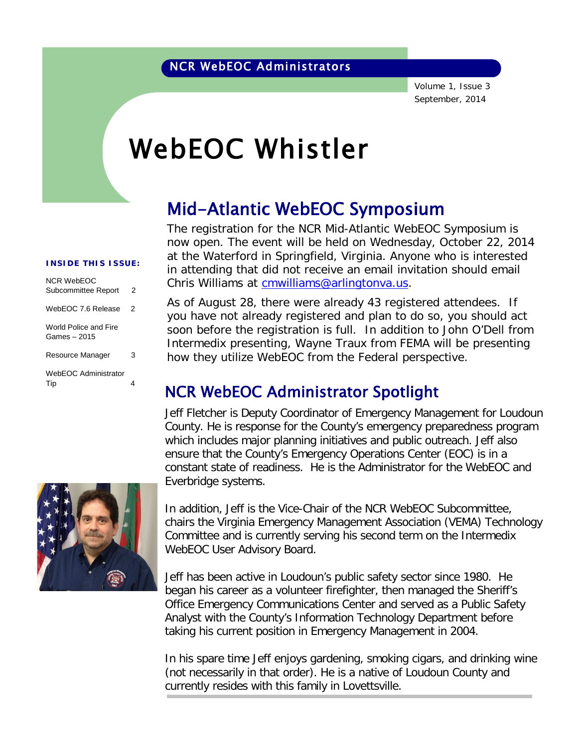Volume 1, Issue 3 September, 2014

# WebEOC Whistler

## Mid-Atlantic WebEOC Symposium

The registration for the NCR Mid-Atlantic WebEOC Symposium is now open. The event will be held on Wednesday, October 22, 2014 at the Waterford in Springfield, Virginia. Anyone who is interested in attending that did not receive an email invitation should email Chris Williams at [cmwilliams@arlingtonva.us.](mailto:cmwilliams@arlingtonva.us)

As of August 28, there were already 43 registered attendees. If you have not already registered and plan to do so, you should act soon before the registration is full. In addition to John O'Dell from Intermedix presenting, Wayne Traux from FEMA will be presenting how they utilize WebEOC from the Federal perspective.

### NCR WebEOC Administrator Spotlight

Jeff Fletcher is Deputy Coordinator of Emergency Management for Loudoun County. He is response for the County's emergency preparedness program which includes major planning initiatives and public outreach. Jeff also ensure that the County's Emergency Operations Center (EOC) is in a constant state of readiness. He is the Administrator for the WebEOC and Everbridge systems.

In addition, Jeff is the Vice-Chair of the NCR WebEOC Subcommittee, chairs the Virginia Emergency Management Association (VEMA) Technology Committee and is currently serving his second term on the Intermedix WebEOC User Advisory Board.

Jeff has been active in Loudoun's public safety sector since 1980. He began his career as a volunteer firefighter, then managed the Sheriff's Office Emergency Communications Center and served as a Public Safety Analyst with the County's Information Technology Department before taking his current position in Emergency Management in 2004.

In his spare time Jeff enjoys gardening, smoking cigars, and drinking wine (not necessarily in that order). He is a native of Loudoun County and currently resides with this family in Lovettsville.

#### **INSIDE THIS ISSUE:**

| NCR WebFOC<br>Subcommittee Report     | 2 |
|---------------------------------------|---|
| WebEOC 7.6 Release                    | 2 |
| World Police and Fire<br>Games - 2015 |   |
| Resource Manager                      | 3 |
| WebEOC Administrator<br>Tip           | 4 |

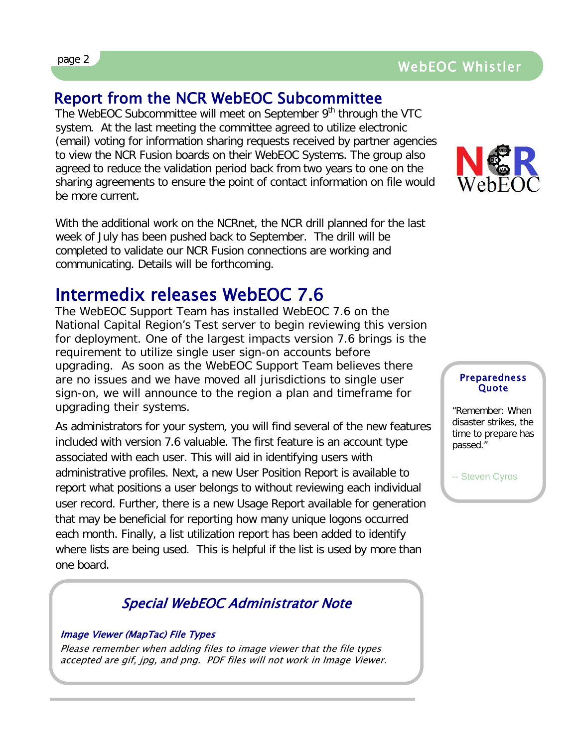### Report from the NCR WebEOC Subcommittee

The WebEOC Subcommittee will meet on September 9<sup>th</sup> through the VTC system. At the last meeting the committee agreed to utilize electronic (email) voting for information sharing requests received by partner agencies to view the NCR Fusion boards on their WebEOC Systems. The group also agreed to reduce the validation period back from two years to one on the sharing agreements to ensure the point of contact information on file would be more current.

With the additional work on the NCRnet, the NCR drill planned for the last week of July has been pushed back to September. The drill will be completed to validate our NCR Fusion connections are working and communicating. Details will be forthcoming.

### Intermedix releases WebEOC 7.6

The WebEOC Support Team has installed WebEOC 7.6 on the National Capital Region's Test server to begin reviewing this version for deployment. One of the largest impacts version 7.6 brings is the requirement to utilize single user sign-on accounts before upgrading. As soon as the WebEOC Support Team believes there are no issues and we have moved all jurisdictions to single user sign-on, we will announce to the region a plan and timeframe for upgrading their systems.

As administrators for your system, you will find several of the new features included with version 7.6 valuable. The first feature is an account type associated with each user. This will aid in identifying users with administrative profiles. Next, a new User Position Report is available to report what positions a user belongs to without reviewing each individual user record. Further, there is a new Usage Report available for generation that may be beneficial for reporting how many unique logons occurred each month. Finally, a list utilization report has been added to identify where lists are being used. This is helpful if the list is used by more than one board.

#### Special WebEOC Administrator Note

#### Image Viewer (MapTac) File Types

Please remember when adding files to image viewer that the file types accepted are gif, jpg, and png. PDF files will not work in Image Viewer.



#### Preparedness **Ouote**

"Remember: When disaster strikes, the time to prepare has passed."

-- Steven Cyros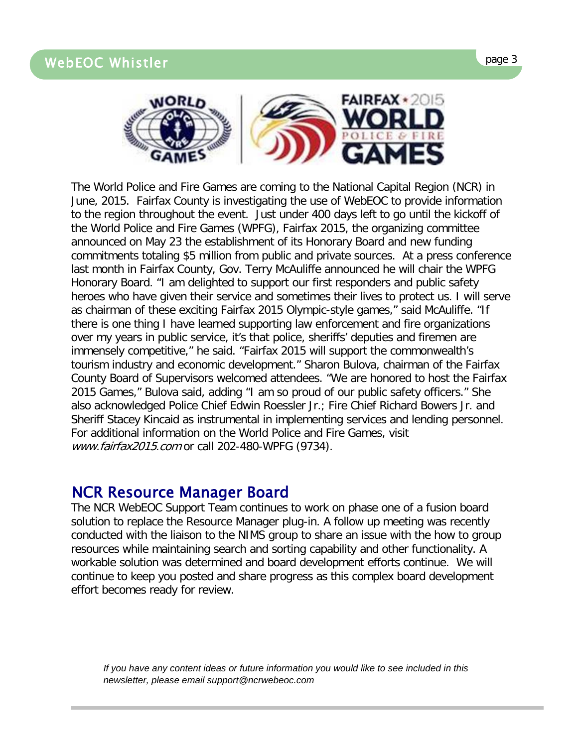

The World Police and Fire Games are coming to the National Capital Region (NCR) in June, 2015. Fairfax County is investigating the use of WebEOC to provide information to the region throughout the event. Just under 400 days left to go until the kickoff of the World Police and Fire Games (WPFG), Fairfax 2015, the organizing committee announced on May 23 the establishment of its Honorary Board and new funding commitments totaling \$5 million from public and private sources. At a press conference last month in Fairfax County, Gov. Terry McAuliffe announced he will chair the WPFG Honorary Board. "I am delighted to support our first responders and public safety heroes who have given their service and sometimes their lives to protect us. I will serve as chairman of these exciting Fairfax 2015 Olympic-style games," said McAuliffe. "If there is one thing I have learned supporting law enforcement and fire organizations over my years in public service, it's that police, sheriffs' deputies and firemen are immensely competitive," he said. "Fairfax 2015 will support the commonwealth's tourism industry and economic development." Sharon Bulova, chairman of the Fairfax County Board of Supervisors welcomed attendees. "We are honored to host the Fairfax 2015 Games," Bulova said, adding "I am so proud of our public safety officers." She also acknowledged Police Chief Edwin Roessler Jr.; Fire Chief Richard Bowers Jr. and Sheriff Stacey Kincaid as instrumental in implementing services and lending personnel. For additional information on the World Police and Fire Games, visit www.fairfax2015.com or call 202-480-WPFG (9734).

#### NCR Resource Manager Board

The NCR WebEOC Support Team continues to work on phase one of a fusion board solution to replace the Resource Manager plug-in. A follow up meeting was recently conducted with the liaison to the NIMS group to share an issue with the how to group resources while maintaining search and sorting capability and other functionality. A workable solution was determined and board development efforts continue. We will continue to keep you posted and share progress as this complex board development effort becomes ready for review.